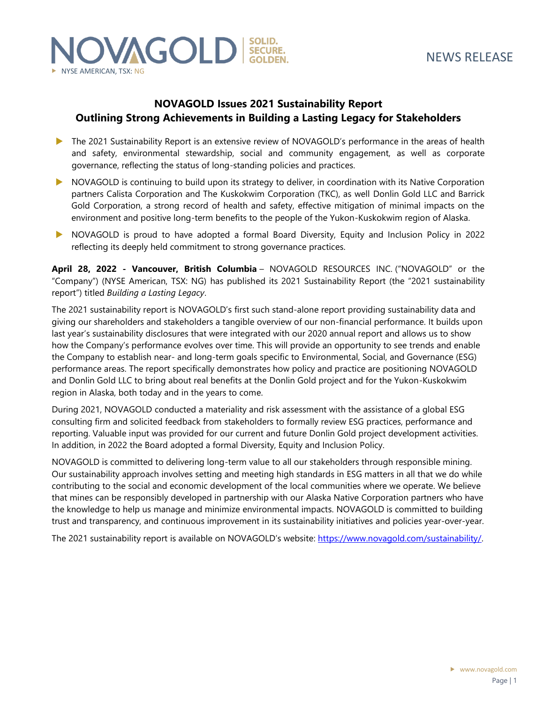

### **NOVAGOLD Issues 2021 Sustainability Report Outlining Strong Achievements in Building a Lasting Legacy for Stakeholders**

- The 2021 Sustainability Report is an extensive review of NOVAGOLD's performance in the areas of health and safety, environmental stewardship, social and community engagement, as well as corporate governance, reflecting the status of long-standing policies and practices.
- NOVAGOLD is continuing to build upon its strategy to deliver, in coordination with its Native Corporation partners Calista Corporation and The Kuskokwim Corporation (TKC), as well Donlin Gold LLC and Barrick Gold Corporation, a strong record of health and safety, effective mitigation of minimal impacts on the environment and positive long-term benefits to the people of the Yukon-Kuskokwim region of Alaska.
- NOVAGOLD is proud to have adopted a formal Board Diversity, Equity and Inclusion Policy in 2022 reflecting its deeply held commitment to strong governance practices.

**April 28, 2022 - Vancouver, British Columbia** – NOVAGOLD RESOURCES INC. ("NOVAGOLD" or the "Company") (NYSE American, TSX: NG) has published its 2021 Sustainability Report (the "2021 sustainability report") titled *Building a Lasting Legacy*.

The 2021 sustainability report is NOVAGOLD's first such stand-alone report providing sustainability data and giving our shareholders and stakeholders a tangible overview of our non-financial performance. It builds upon last year's sustainability disclosures that were integrated with our 2020 annual report and allows us to show how the Company's performance evolves over time. This will provide an opportunity to see trends and enable the Company to establish near- and long-term goals specific to Environmental, Social, and Governance (ESG) performance areas. The report specifically demonstrates how policy and practice are positioning NOVAGOLD and Donlin Gold LLC to bring about real benefits at the Donlin Gold project and for the Yukon-Kuskokwim region in Alaska, both today and in the years to come.

During 2021, NOVAGOLD conducted a materiality and risk assessment with the assistance of a global ESG consulting firm and solicited feedback from stakeholders to formally review ESG practices, performance and reporting. Valuable input was provided for our current and future Donlin Gold project development activities. In addition, in 2022 the Board adopted a formal Diversity, Equity and Inclusion Policy.

NOVAGOLD is committed to delivering long-term value to all our stakeholders through responsible mining. Our sustainability approach involves setting and meeting high standards in ESG matters in all that we do while contributing to the social and economic development of the local communities where we operate. We believe that mines can be responsibly developed in partnership with our Alaska Native Corporation partners who have the knowledge to help us manage and minimize environmental impacts. NOVAGOLD is committed to building trust and transparency, and continuous improvement in its sustainability initiatives and policies year-over-year.

The 2021 sustainability report is available on NOVAGOLD's website: [https://www.novagold.com/sustainability/.](https://www.novagold.com/sustainability/)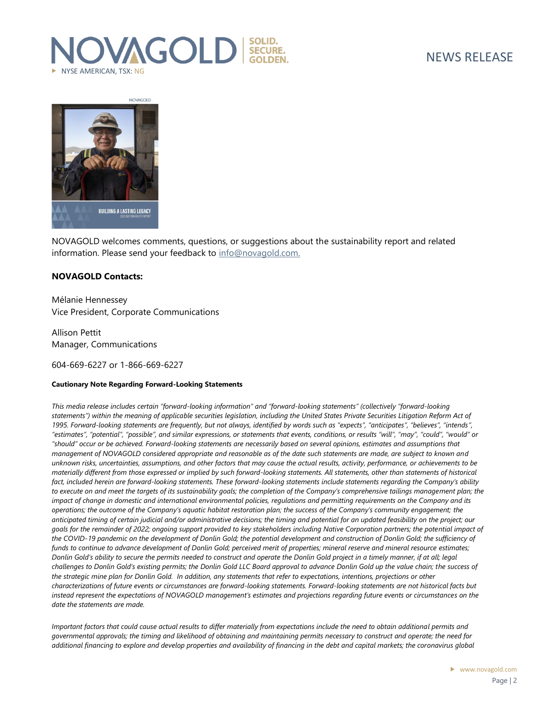# **VAGOLD** SECURE. NYSE AMERICAN, TSX: NG



NOVAGOLD welcomes comments, questions, or suggestions about the sustainability report and related information. Please send your feedback to [info@novagold.com.](mailto:info@novagold.com)

### **NOVAGOLD Contacts:**

Mélanie Hennessey Vice President, Corporate Communications

Allison Pettit Manager, Communications

604-669-6227 or 1-866-669-6227

#### **Cautionary Note Regarding Forward-Looking Statements**

*This media release includes certain "forward-looking information" and "forward-looking statements" (collectively "forward-looking statements") within the meaning of applicable securities legislation, including the United States Private Securities Litigation Reform Act of 1995. Forward-looking statements are frequently, but not always, identified by words such as "expects", "anticipates", "believes", "intends", "estimates", "potential", "possible", and similar expressions, or statements that events, conditions, or results "will", "may", "could", "would" or "should" occur or be achieved. Forward-looking statements are necessarily based on several opinions, estimates and assumptions that management of NOVAGOLD considered appropriate and reasonable as of the date such statements are made, are subject to known and unknown risks, uncertainties, assumptions, and other factors that may cause the actual results, activity, performance, or achievements to be materially different from those expressed or implied by such forward-looking statements. All statements, other than statements of historical fact, included herein are forward-looking statements. These forward-looking statements include statements regarding the Company's ability to execute on and meet the targets of its sustainability goals; the completion of the Company's comprehensive tailings management plan; the impact of change in domestic and international environmental policies, regulations and permitting requirements on the Company and its operations; the outcome of the Company's aquatic habitat restoration plan; the success of the Company's community engagement; the anticipated timing of certain judicial and/or administrative decisions; the timing and potential for an updated feasibility on the project; our goals for the remainder of 2022; ongoing support provided to key stakeholders including Native Corporation partners; the potential impact of*  the COVID-19 pandemic on the development of Donlin Gold; the potential development and construction of Donlin Gold; the sufficiency of *funds to continue to advance development of Donlin Gold; perceived merit of properties; mineral reserve and mineral resource estimates; Donlin Gold's ability to secure the permits needed to construct and operate the Donlin Gold project in a timely manner, if at all; legal challenges to Donlin Gold's existing permits; the Donlin Gold LLC Board approval to advance Donlin Gold up the value chain; the success of the strategic mine plan for Donlin Gold. In addition, any statements that refer to expectations, intentions, projections or other characterizations of future events or circumstances are forward-looking statements. Forward-looking statements are not historical facts but instead represent the expectations of NOVAGOLD management's estimates and projections regarding future events or circumstances on the date the statements are made.* 

*Important factors that could cause actual results to differ materially from expectations include the need to obtain additional permits and governmental approvals; the timing and likelihood of obtaining and maintaining permits necessary to construct and operate; the need for additional financing to explore and develop properties and availability of financing in the debt and capital markets; the coronavirus global*